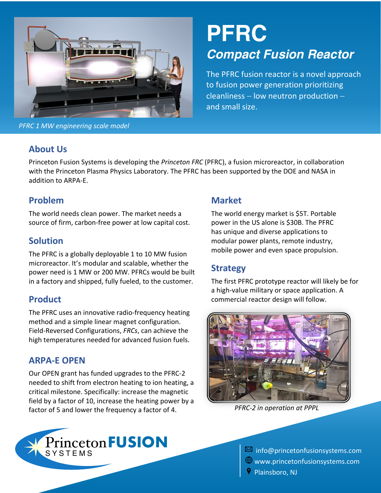

*PFRC 1 MW engineering scale model*

# **PFRC**  *Compact Fusion Reactor*

The PFRC fusion reactor is a novel approach to fusion power generation prioritizing  $cleanlines - low neutron production$ and small size.

#### **About Us**

Princeton Fusion Systems is developing the *Princeton FRC* (PFRC), a fusion microreactor, in collaboration with the Princeton Plasma Physics Laboratory. The PFRC has been supported by the DOE and NASA in addition to ARPA-E.

#### **Problem**

The world needs clean power. The market needs a source of firm, carbon-free power at low capital cost.

#### **Solution**

The PFRC is a globally deployable 1 to 10 MW fusion microreactor. It's modular and scalable, whether the power need is 1 MW or 200 MW. PFRCs would be built in a factory and shipped, fully fueled, to the customer.

#### **Product**

The PFRC uses an innovative radio-frequency heating method and a simple linear magnet configuration. Field-Reversed Configurations, *FRCs*, can achieve the high temperatures needed for advanced fusion fuels.

#### **ARPA-E OPEN**

Our OPEN grant has funded upgrades to the PFRC-2 needed to shift from electron heating to ion heating, a critical milestone. Specifically: increase the magnetic field by a factor of 10, increase the heating power by a factor of 5 and lower the frequency a factor of 4.

## **Market**

The world energy market is \$5T. Portable power in the US alone is \$30B. The PFRC has unique and diverse applications to modular power plants, remote industry, mobile power and even space propulsion.

## **Strategy**

The first PFRC prototype reactor will likely be for a high-value military or space application. A commercial reactor design will follow.



*PFRC-2 in operation at PPPL*



 $\overline{\text{M}}$  info@princetonfusionsystems.com  $\bigoplus$  www.princetonfusionsystems.com Plainsboro, NJ